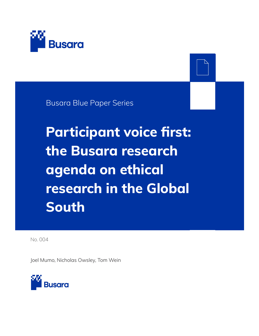

Busara Blue Paper Series

**Participant voice first: the Busara research agenda on ethical research in the Global South**

No. 004

Joel Mumo, Nicholas Owsley, Tom Wein

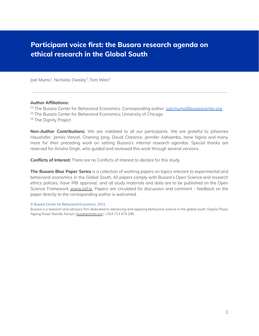### **Participant voice first: the Busara research agenda on ethical research in the Global South**

Joel Mumo<sup>1</sup>, Nicholas Owsley<sup>2</sup>, Tom Wein<sup>3</sup>

#### **Author Affiliations:**

<sup>[1]</sup> The Busara Center for Behavioral Economics. Corresponding author: [joel.mumo@busaracenter.org](mailto:joel.mumo@busaracenter.org) <sup>[2]</sup> The Busara Center for Behavioral Economics; University of Chicago [3] The Dignity Project

**Non-Author Contributions:** We are indebted to all our participants. We are grateful to Johannes Haushofer, James Vancel, Chaning Jang, David Clarance, Jennifer Adhiambo, Irene Ngina and many more for their preceding work on setting Busara's internal research agendas. Special thanks are reserved for Anisha Singh, who guided and reviewed this work through several versions.

**Conflicts of Interest:** There are no Conflicts of Interest to declare for this study

**The Busara Blue Paper Series** is a collection of working papers on topics relevant to experimental and behavioral economics in the Global South. All papers comply with Busara's Open Science and research ethics policies, have IRB approval, and all study materials and data are to be published on the Open Science Framework [www.osf.io.](http://www.osf.io) Papers are circulated for discussion and comment - feedback on the paper directly to the corresponding author is welcomed.

© Busara Center for Behavioral Economics, 2021

Busara is a research and advisory firm dedicated to advancing and applying behavioral science in the global south. Daykio Plaza, Ngong Road, Nairobi, Kenya | [busaracenter.org](https://www.busaracenter.org) | +254 713 474 296.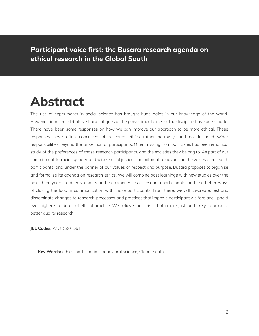**Participant voice first: the Busara research agenda on ethical research in the Global South**

# **Abstract**

The use of experiments in social science has brought huge gains in our knowledge of the world. However, in recent debates, sharp critiques of the power imbalances of the discipline have been made. There have been some responses on how we can improve our approach to be more ethical. These responses have often conceived of research ethics rather narrowly, and not included wider responsibilities beyond the protection of participants. Often missing from both sides has been empirical study of the preferences of those research participants, and the societies they belong to. As part of our commitment to racial, gender and wider social justice, commitment to advancing the voices of research participants, and under the banner of our values of respect and purpose, Busara proposes to organise and formalise its agenda on research ethics. We will combine past learnings with new studies over the next three years, to deeply understand the experiences of research participants, and find better ways of closing the loop in communication with those participants. From there, we will co-create, test and disseminate changes to research processes and practices that improve participant welfare and uphold ever-higher standards of ethical practice. We believe that this is both more just, and likely to produce better quality research.

**JEL Codes:** A13; C90; D91

**Key Words:** ethics, participation, behavioral science, Global South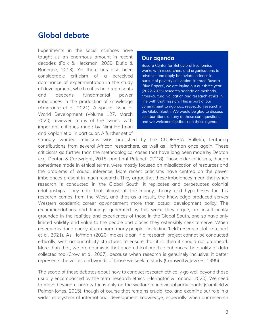### **Global debate**

Experiments in the social sciences have taught us an enormous amount in recent decades (Falk & Heckman, 2009; Duflo & Banerjee, 2013). Yet there has also been considerable criticism of a perceived dominance of experimentation in the study of development, which critics hold represents and deepens fundamental power imbalances in the production of knowledge (Amarante et al, 2021). A special issue of World Development (Volume 127, March 2020) reviewed many of the issues, with important critiques made by Nimi Hoffman and Kaplan et al in particular. A further set of

#### **Our agenda**

**Busara Center for Behavioral Economics** works with researchers and organisations to advance and apply behavioral science in pursuit of poverty alleviation. In three Busara 'Blue Papers', we are laying out our three year (2022-2025) research agenda on methods, cross-cultural validation and research ethics in line with that mission. This is part of our commitment to rigorous, respectful research in the Global South. We would be glad to discuss collaborations on any of these core questions, and we welcome feedback on these agendas.

strongly worded criticisms was published by the CODESRIA Bulletin, featuring contributions from several African researchers, as well as Hoffman once again. These criticisms go further than the methodological cases that have long been made by Deaton (e.g. Deaton & Cartwright, 2018) and Lant Pritchett (2018). Those older criticisms, though sometimes made in ethical terms, were mostly focused on misallocation of resources and the problems of causal inference. More recent criticisms have centred on the power imbalances present in much research. They argue that these imbalances mean that when research is conducted in the Global South, it replicates and perpetuates colonial relationships. They note that almost all the money, theory and hypotheses for this research comes from the West, and that as a result, the knowledge produced serves Western academic career advancement more than actual development policy. The recommendations and findings generated by this work, they argue, are insufficiently grounded in the realities and experiences of those in the Global South, and so have only limited validity and value to the people and places they ostensibly seek to serve. When research is done poorly, it can harm many people - including 'field' research staff (Steinert et al, 2021). As Hoffman (2020) makes clear, if a research project cannot be conducted ethically, with accountability structures to ensure that it is, then it should not go ahead. More than that, we are optimistic that good ethical practice enhances the quality of data collected too (Crow et al, 2007), because when research is genuinely inclusive, it better represents the voices and worlds of those we seek to study (Cornwall & Jewkes, 1995).

The scope of these debates about how to conduct research ethically go well beyond those usually encompassed by the term 'research ethics' (Herington & Tanona, 2020). We need to move beyond a narrow focus only on the welfare of individual participants (Camfield & Palmer-Jones, 2015), though of course that remains crucial too, and examine our role in a wider ecosystem of international development knowledge, especially when our research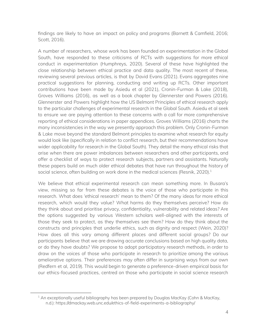findings are likely to have an impact on policy and programs (Barnett & Camfield, 2016; Scott, 2016).

A number of researchers, whose work has been founded on experimentation in the Global South, have responded to these criticisms of RCTs with suggestions for more ethical conduct in experimentation (Humphreys, 2020). Several of these have highlighted the close relationship between ethical practice and data quality. The most recent of these, reviewing several previous articles, is that by David Evans (2021). Evans aggregates nine practical suggestions for planning, conducting and writing up RCTs. Other important contributions have been made by Asiedu et al (2021), Cronin-Furman & Lake (2018), Groves Williams (2016), as well as a book chapter by Glennerster and Powers (2016). Glennerster and Powers highlight how the US Belmont Principles of ethical research apply to the particular challenges of experimental research in the Global South. Asiedu et al seek to ensure we are paying attention to these concerns with a call for more comprehensive reporting of ethical considerations in paper appendices. Groves Williams (2016) charts the many inconsistencies in the way we presently approach this problem. Only Cronin-Furman & Lake move beyond the standard Belmont principles to examine what research for equity would look like (specifically in relation to conflict research, but their recommendations have wider applicability for research in the Global South). They detail the many ethical risks that arise when there are power imbalances between researchers and other participants, and offer a checklist of ways to protect research subjects, partners and assistants. Naturally these papers build on much older ethical debates that have run throughout the history of social science, often building on work done in the medical sciences (Resnik, 2020). $^1$ 

We believe that ethical experimental research can mean something more. In Busara's view, missing so far from these debates is the voice of those who participate in this research. What does 'ethical research' mean to them? Of the many ideas for more ethical research, which would they value? What harms do they themselves perceive? How do they think about and prioritise privacy, confidentiality, vulnerability and related ideas? Are the options suggested by various Western scholars well-aligned with the interests of those they seek to protect, as they themselves see them? How do they think about the constructs and principles that underlie ethics, such as dignity and respect (Wein, 2020)? How does all this vary among different places and different social groups? Do our participants believe that we are drawing accurate conclusions based on high quality data, or do they have doubts? We propose to adopt participatory research methods, in order to draw on the voices of those who participate in research to prioritize among the various ameliorative options. Their preferences may often differ in surprising ways from our own (Redfern et al, 2019). This would begin to generate a preference-driven empirical basis for our ethics-focused practices, centred on those who participate in social science research

 $1$  An exceptionally useful bibliography has been prepared by Douglas MacKay (Cohn & MacKay, n.d.): https://dmackay.web.unc.edu/ethics-of-field-experiments-a-bibliography/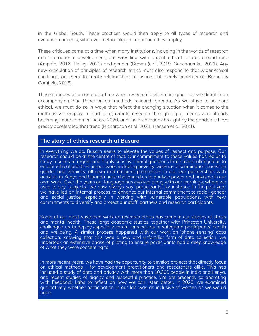in the Global South. These practices would then apply to all types of research and evaluation projects, whatever methodological approach they employ.

These critiques come at a time when many institutions, including in the worlds of research and international development, are wrestling with urgent ethical failures around race (Ampofo, 2016; Pailey, 2020) and gender (Brown (ed.), 2019; Goncharenko, 2021). Any new articulation of principles of research ethics must also respond to that wider ethical challenge, and seek to create relationships of justice, not merely beneficence (Barnett & Camfield, 2016).

These critiques also come at a time when research itself is changing - as we detail in an accompanying Blue Paper on our methods research agenda. As we strive to be more ethical, we must do so in ways that reflect the changing situation when it comes to the methods we employ. In particular, remote research through digital means was already becoming more common before 2020, and the dislocations brought by the pandemic have greatly accelerated that trend (Richardson et al, 2021; Hensen et al, 2021).

#### **The story of ethics research at Busara**

In everything we do, Busara seeks to elevate the values of respect and purpose. Our research should be at the centre of that. Our commitment to these values has led us to study a series of urgent and highly sensitive moral questions that have challenged us to ensure ethical practices in our work, including poverty, violence, discrimination based on gender and ethnicity, altruism and recipient preferences in aid. Our partnerships with activists in Kenya and Uganda have challenged us to analyse power and privilege in our own work. Over the years our language has evolved along with our learnings; where we used to say 'subjects', we now always say 'participants', for instance. In the past year we have led an internal process to enhance our internal commitment to racial, gender and social justice, especially in working with vulnerable populations, with new commitments to diversify and protect our staff, partners and research participants.

Some of our most sustained work on research ethics has come in our studies of stress and mental health. These large academic studies, together with Princeton University, challenged us to deploy especially careful procedures to safeguard participants' health and wellbeing. A similar process happened with our work on 'phone sensing' data collection; knowing that this was a new and unfamiliar form of data collection, we undertook an extensive phase of piloting to ensure participants had a deep knowledge of what they were consenting to.

In more recent years, we have had the opportunity to develop projects that directly focus on ethical methods - for development practitioners and researchers alike. This has included a study of data and privacy with more than 10,000 people in India and Kenya, and recent studies of dignity and respectful practice. We are presently collaborating with Feedback Labs to reflect on how we can listen better. In 2020, we examined qualitatively whether participation in our lab was as inclusive of women as we would hope.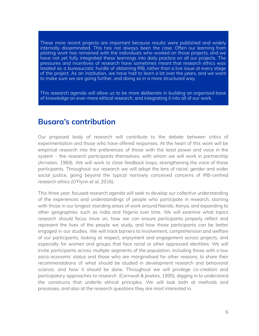These more recent projects are important because results were published and widely internally disseminated. This has not always been the case. Often our learning from piloting work has remained with the individuals who worked on those projects, and we have not yet fully integrated these learnings into daily practice on all our projects. The pressures and incentives of research have sometimes meant that research ethics was treated as a bureaucratic hurdle of obtaining IRB, rather than a live issue at every stage of the project. As an institution, we have had to learn a lot over the years, and we want to make sure we are going further, and doing so in a more structured way.

This research agenda will allow us to be more deliberate in building an organised base of knowledge on ever-more ethical research, and integrating it into all of our work.

### **Busara's contribution**

Our proposed body of research will contribute to the debate between critics of experimentation and those who have offered responses. At the heart of this work will be empirical research into the preferences of those with the least power and voice in the system - the research participants themselves, with whom we will work in partnership (Arnstein, 1969). We will work to close feedback loops, strengthening the voice of those participants. Throughout our research we will adopt the lens of racial, gender and wider social justice, going beyond the typical narrowly conceived concerns of IRB-centred research ethics (O'Flynn et al, 2016).

This three year, focused research agenda will seek to develop our collective understanding of the experiences and understandings of people who participate in research, starting with those in our longest-standing areas of work around Nairobi, Kenya, and expanding to other geographies such as India and Nigeria over time. We will examine what topics research should focus more on, how we can ensure participants properly reflect and represent the lives of the people we study, and how those participants can be better engaged in our studies. We will track barriers to involvement, comprehension and welfare of our participants, looking at respect, enjoyment and engagement across projects, and especially for women and groups that face racial or other oppressed identities. We will invite participants across multiple segments of the population, including those with a low socio-economic status and those who are marginalised for other reasons, to share their recommendations of what should be studied in development research and behavioral science, and how it should be done. Throughout we will privilege co-creation and participatory approaches to research (Cornwall & Jewkes, 1995), digging in to understand the constructs that underlie ethical principles. We will look both at methods and processes, and also at the research questions they are most interested in.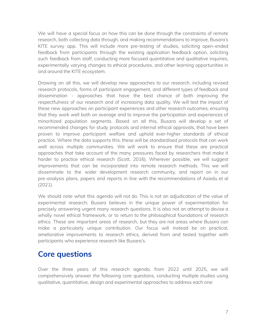We will have a special focus on how this can be done through the constraints of remote research, both collecting data through, and making recommendations to improve, Busara's KITE survey app. This will include more pre-testing of studies, soliciting open-ended feedback from participants through the existing application feedback option, soliciting such feedback from staff, conducting more focused quantitative and qualitative inquiries, experimentally varying changes to ethical procedures, and other learning opportunities in and around the KITE ecosystem.

Drawing on all this, we will develop new approaches to our research, including revised research protocols, forms of participant engagement, and different types of feedback and dissemination - approaches that have the best chance of both improving the respectfulness of our research and of increasing data quality. We will test the impact of these new approaches on participant experiences and other research outcomes, ensuring that they work well both on average and to improve the participation and experiences of minoritized population segments. Based on all this, Busara will develop a set of recommended changes for study protocols and internal ethical approvals, that have been proven to improve participant welfare and uphold ever-higher standards of ethical practice. Where the data supports this, these will be standardised protocols that can work well across multiple communities. We will work to ensure that these are practical approaches that take account of the many pressures faced by researchers that make it harder to practice ethical research (Scott, 2016). Wherever possible, we will suggest improvements that can be incorporated into remote research methods. This we will disseminate to the wider development research community, and report on in our pre-analysis plans, papers and reports in line with the recommendations of Asiedu et al (2021).

We should note what this agenda will *not* do. This is not an adjudication of the value of experimental research; Busara believes in the unique power of experimentation for precisely answering urgent many research questions. It is also not an attempt to devise a wholly novel ethical framework, or to return to the philosophical foundations of research ethics. These are important areas of research, but they are not areas where Busara can make a particularly unique contribution. Our focus will instead be on practical, ameliorative improvements to research ethics, derived from and tested together with participants who experience research like Busara's.

### **Core questions**

Over the three years of this research agenda, from 2022 until 2025, we will comprehensively answer the following core questions, conducting multiple studies using qualitative, quantitative, design and experimental approaches to address each one: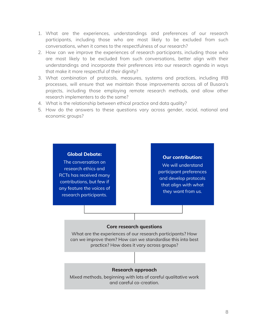- 1. What are the experiences, understandings and preferences of our research participants, including those who are most likely to be excluded from such conversations, when it comes to the respectfulness of our research?
- 2. How can we improve the experiences of research participants, including those who are most likely to be excluded from such conversations, better align with their understandings and incorporate their preferences into our research agenda in ways that make it more respectful of their dignity?
- 3. What combination of protocols, measures, systems and practices, including IRB processes, will ensure that we maintain those improvements across all of Busara's projects, including those employing remote research methods, and allow other research implementers to do the same?
- 4. What is the relationship between ethical practice and data quality?
- 5. How do the answers to these questions vary across gender, racial, national and economic groups?

#### **Global Debate:**

The conversation on research ethics and RCTs has received many contributions, but few if any feature the voices of research participants.

#### **Our contribution:**

We will understand participant preferences and develop protocols that align with what they want from us.

#### **Core research questions**

What are the experiences of our research participants? How can we improve them? How can we standardise this into best practice? How does it vary across groups?

#### **Research approach**

Mixed methods, beginning with lots of careful qualitative work and careful co-creation.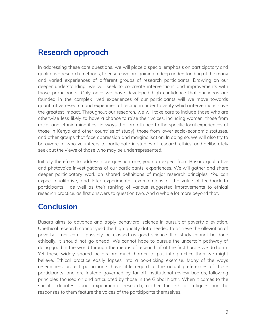## **Research approach**

In addressing these core questions, we will place a special emphasis on participatory and qualitative research methods, to ensure we are gaining a deep understanding of the many and varied experiences of different groups of research participants. Drawing on our deeper understanding, we will seek to co-create interventions and improvements with those participants. Only once we have developed high confidence that our ideas are founded in the complex lived experiences of our participants will we move towards quantitative research and experimental testing in order to verify which interventions have the greatest impact. Throughout our research, we will take care to include those who are otherwise less likely to have a chance to raise their voices, including women, those from racial and ethnic minorities (in ways that are attuned to the specific local experiences of those in Kenya and other countries of study), those from lower socio-economic statuses, and other groups that face oppression and marginalisation. In doing so, we will also try to be aware of who volunteers to participate in studies of research ethics, and deliberately seek out the views of those who may be underrepresented.

Initially therefore, to address core question one, you can expect from Busara qualitative and photovoice investigations of our participants' experiences. We will gather and share deeper participatory work on shared definitions of major research principles. You can expect qualitative, and later experimental, examinations of the value of feedback to participants, as well as their ranking of various suggested improvements to ethical research practice, as first answers to question two. And a whole lot more beyond that.

## **Conclusion**

Busara aims to advance and apply behavioral science in pursuit of poverty alleviation. Unethical research cannot yield the high quality data needed to achieve the alleviation of poverty - nor can it possibly be classed as good science. If a study cannot be done ethically, it should not go ahead. We cannot hope to pursue the uncertain pathway of doing good in the world through the means of research, if at the first hurdle we do harm. Yet these widely shared beliefs are much harder to put into practice than we might believe. Ethical practice easily lapses into a box-ticking exercise. Many of the ways researchers protect participants have little regard to the actual preferences of those participants, and are instead governed by far-off institutional review boards, following principles focused on and articulated by those in the Global North. When it comes to the specific debates about experimental research, neither the ethical critiques nor the responses to them feature the voices of the participants themselves.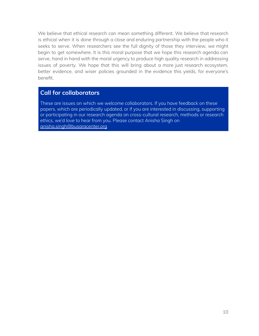We believe that ethical research can mean something different. We believe that research is ethical when it is done through a close and enduring partnership with the people who it seeks to serve. When researchers see the full dignity of those they interview, we might begin to get somewhere. It is this moral purpose that we hope this research agenda can serve, hand in hand with the moral urgency to produce high quality research in addressing issues of poverty. We hope that this will bring about a more just research ecosystem, better evidence, and wiser policies grounded in the evidence this yields, for everyone's benefit.

#### **Call for collaborators**

These are issues on which we welcome collaborators. If you have feedback on these papers, which are periodically updated, or if you are interested in discussing, supporting or participating in our research agenda on cross-cultural research, methods or research ethics, we'd love to hear from you. Please contact Anisha Singh on [anisha.singh@busaracenter.org](mailto:anisha.singh@busaracenter.org)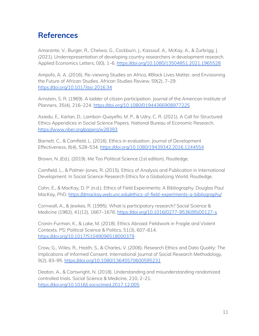# **References**

Amarante, V., Burger, R., Chelwa, G., Cockburn, J., Kassouf, A., McKay, A., & Zurbrigg, J. (2021). Underrepresentation of developing country researchers in development research. Applied Economics Letters, 0(0), 1–6. <https://doi.org/10.1080/13504851.2021.1965528>

Ampofo, A. A. (2016). Re-viewing Studies on Africa, #Black Lives Matter, and Envisioning the Future of African Studies. African Studies Review, 59(2), 7–29. <https://doi.org/10.1017/asr.2016.34>

Arnstein, S. R. (1969). A ladder of citizen participation. Journal of the American Institute of Planners, 35(4), 216–224. <https://doi.org/10.1080/01944366908977225>

Asiedu, E., Karlan, D., Lambon-Quayefio, M. P., & Udry, C. R. (2021). A Call for Structured Ethics Appendices in Social Science Papers. National Bureau of Economic Research. <https://www.nber.org/papers/w28393>

Barnett, C., & Camfield, L. (2016). Ethics in evaluation. Journal of Development Effectiveness, 8(4), 528–534. <https://doi.org/10.1080/19439342.2016.1244554>

Brown, N. (Ed.). (2019). Me Too Political Science (1st edition). Routledge.

Camfield, L., & Palmer-Jones, R. (2015). Ethics of Analysis and Publication in International Development. In Social Science Research Ethics for a Globalizing World. Routledge.

Cohn, E., & MacKay, D. P. (n.d.). Ethics of Field Experiments: A Bibliography. Douglas Paul MacKay, PhD. <https://dmackay.web.unc.edu/ethics-of-field-experiments-a-bibliography/>

Cornwall, A., & Jewkes, R. (1995). What is participatory research? Social Science & Medicine (1982), 41(12), 1667–1676. [https://doi.org/10.1016/0277-9536\(95\)00127-s](https://doi.org/10.1016/0277-9536(95)00127-s)

Cronin-Furman, K., & Lake, M. (2018). Ethics Abroad: Fieldwork in Fragile and Violent Contexts. PS: Political Science & Politics, 51(3), 607–614. <https://doi.org/10.1017/S1049096518000379>

Crow, G., Wiles, R., Heath, S., & Charles, V. (2006). Research Ethics and Data Quality: The Implications of Informed Consent. International Journal of Social Research Methodology, 9(2), 83–95. <https://doi.org/10.1080/13645570600595231>

Deaton, A., & Cartwright, N. (2018). Understanding and misunderstanding randomized controlled trials. Social Science & Medicine, 210, 2–21. <https://doi.org/10.1016/j.socscimed.2017.12.005>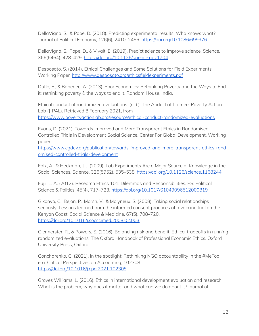DellaVigna, S., & Pope, D. (2018). Predicting experimental results: Who knows what? Journal of Political Economy, 126(6), 2410–2456. <https://doi.org/10.1086/699976>

DellaVigna, S., Pope, D., & Vivalt, E. (2019). Predict science to improve science. Science, 366(6464), 428–429. <https://doi.org/10.1126/science.aaz1704>

Desposato, S. (2014). Ethical Challenges and Some Solutions for Field Experiments. Working Paper. <http://www.desposato.org/ethicsfieldexperiments.pdf>

Duflo, E., & Banerjee, A. (2013). Poor Economics: Rethinking Poverty and the Ways to End it: rethinking poverty & the ways to end it. Random House, India.

Ethical conduct of randomized evaluations. (n.d.). The Abdul Latif Jameel Poverty Action Lab (J-PAL). Retrieved 8 February 2021, from <https://www.povertyactionlab.org/resource/ethical-conduct-randomized-evaluations>

Evans, D. (2021). Towards Improved and More Transparent Ethics in Randomised Controlled Trials in Development Social Science. Center For Global Development, Working paper.

[https://www.cgdev.org/publication/towards-improved-and-more-transparent-ethics-rand](https://www.cgdev.org/publication/towards-improved-and-more-transparent-ethics-randomised-controlled-trials-development) [omised-controlled-trials-development](https://www.cgdev.org/publication/towards-improved-and-more-transparent-ethics-randomised-controlled-trials-development)

Falk, A., & Heckman, J. J. (2009). Lab Experiments Are a Major Source of Knowledge in the Social Sciences. Science, 326(5952), 535–538. <https://doi.org/10.1126/science.1168244>

Fujii, L. A. (2012). Research Ethics 101: Dilemmas and Responsibilities. PS: Political Science & Politics, 45(4), 717-723. <https://doi.org/10.1017/S1049096512000819>

Gikonyo, C., Bejon, P., Marsh, V., & Molyneux, S. (2008). Taking social relationships seriously: Lessons learned from the informed consent practices of a vaccine trial on the Kenyan Coast. Social Science & Medicine, 67(5), 708–720. <https://doi.org/10.1016/j.socscimed.2008.02.003>

Glennerster, R., & Powers, S. (2016). Balancing risk and benefit: Ethical tradeoffs in running randomized evaluations. The Oxford Handbook of Professional Economic Ethics. Oxford University Press, Oxford.

Goncharenko, G. (2021). In the spotlight: Rethinking NGO accountability in the #MeToo era. Critical Perspectives on Accounting, 102308. <https://doi.org/10.1016/j.cpa.2021.102308>

Groves Williams, L. (2016). Ethics in international development evaluation and research: What is the problem, why does it matter and what can we do about it? Journal of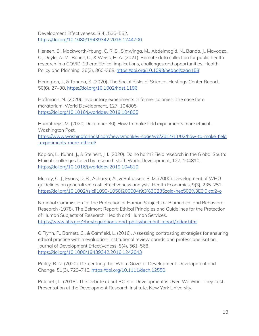Development Effectiveness, 8(4), 535–552. <https://doi.org/10.1080/19439342.2016.1244700>

Hensen, B., Mackworth-Young, C. R. S., Simwinga, M., Abdelmagid, N., Banda, J., Mavodza, C., Doyle, A. M., Bonell, C., & Weiss, H. A. (2021). Remote data collection for public health research in a COVID-19 era: Ethical implications, challenges and opportunities. Health Policy and Planning, 36(3), 360–368. <https://doi.org/10.1093/heapol/czaa158>

Herington, J., & Tanona, S. (2020). The Social Risks of Science. Hastings Center Report, 50(6), 27–38. <https://doi.org/10.1002/hast.1196>

Hoffmann, N. (2020). Involuntary experiments in former colonies: The case for a moratorium. World Development, 127, 104805. <https://doi.org/10.1016/j.worlddev.2019.104805>

Humphreys, M. (2020, December 30). How to make field experiments more ethical. Washington Post.

[https://www.washingtonpost.com/news/monkey-cage/wp/2014/11/02/how-to-make-field](https://www.washingtonpost.com/news/monkey-cage/wp/2014/11/02/how-to-make-field-experiments-more-ethical/) [-experiments-more-ethical/](https://www.washingtonpost.com/news/monkey-cage/wp/2014/11/02/how-to-make-field-experiments-more-ethical/)

Kaplan, L., Kuhnt, J., & Steinert, J. I. (2020). Do no harm? Field research in the Global South: Ethical challenges faced by research staff. World Development, 127, 104810. <https://doi.org/10.1016/j.worlddev.2019.104810>

Murray, C. J., Evans, D. B., Acharya, A., & Baltussen, R. M. (2000). Development of WHO guidelines on generalized cost-effectiveness analysis. Health Economics, 9(3), 235–251. [https://doi.org/10.1002/\(sici\)1099-1050\(200004\)9:3%3C235::aid-hec502%3E3.0.co;2-o](https://doi.org/10.1002/(sici)1099-1050(200004)9:3%3C235::aid-hec502%3E3.0.co;2-o)

National Commission for the Protection of Human Subjects of Biomedical and Behavioral Research (1978). The Belmont Report: Ethical Principles and Guidelines for the Protection of Human Subjects of Research. Health and Human Services. <https://www.hhs.gov/ohrp/regulations-and-policy/belmont-report/index.html>

O'Flynn, P., Barnett, C., & Camfield, L. (2016). Assessing contrasting strategies for ensuring ethical practice within evaluation: Institutional review boards and professionalisation. Journal of Development Effectiveness, 8(4), 561–568. <https://doi.org/10.1080/19439342.2016.1242643>

Pailey, R. N. (2020). De-centring the 'White Gaze' of Development. Development and Change, 51(3), 729–745. <https://doi.org/10.1111/dech.12550>

Pritchett, L. (2018). The Debate about RCTs in Development is Over: We Won. They Lost. Presentation at the Development Research Institute, New York University.